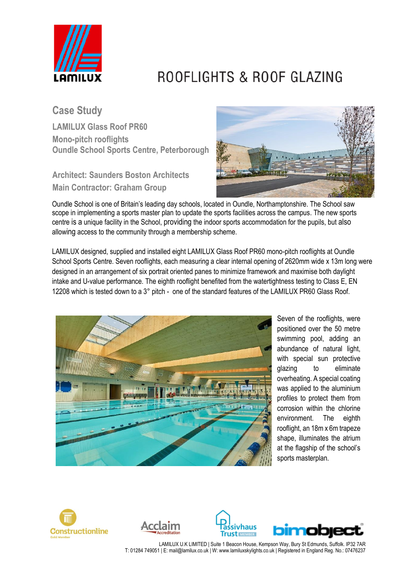

## ROOFLIGHTS & ROOF GLAZING

**Case Study**

**LAMILUX Glass Roof PR60 Mono-pitch rooflights Oundle School Sports Centre, Peterborough**

**Architect: Saunders Boston Architects Main Contractor: Graham Group**



Oundle School is one of Britain's leading day schools, located in Oundle, Northamptonshire. The School saw scope in implementing a sports master plan to update the sports facilities across the campus. The new sports centre is a unique facility in the School, providing the indoor sports accommodation for the pupils, but also allowing access to the community through a membership scheme.

LAMILUX designed, supplied and installed eight LAMILUX Glass Roof PR60 mono-pitch rooflights at Oundle School Sports Centre. Seven rooflights, each measuring a clear internal opening of 2620mm wide x 13m long were designed in an arrangement of six portrait oriented panes to minimize framework and maximise both daylight intake and U-value performance. The eighth rooflight benefited from the watertightness testing to Class E, EN 12208 which is tested down to a 3° pitch - one of the standard features of the LAMILUX PR60 Glass Roof.



Seven of the rooflights, were positioned over the 50 metre swimming pool, adding an abundance of natural light, with special sun protective glazing to eliminate overheating. A special coating was applied to the aluminium profiles to protect them from corrosion within the chlorine environment. The eighth rooflight, an 18m x 6m trapeze shape, illuminates the atrium at the flagship of the school's sports masterplan.







LAMILUX U.K LIMITED | Suite 1 Beacon House, Kempson Way, Bury St Edmunds, Suffolk. IP32 7AR T: 01284 749051 | E: mail@lamilux.co.uk | W: www.lamiluxskylights.co.uk | Registered in England Reg. No.: 07476237